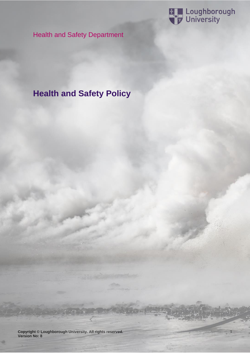

1

Health and Safety Department

# **Health and Safety Policy**

**Copyright © Loughborough University. All rights reserved. Version No: 8**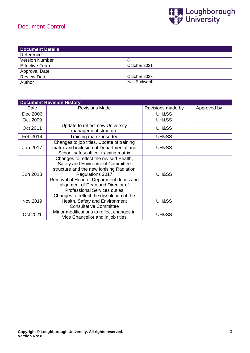# Document Control



| <b>Document Details</b> |               |
|-------------------------|---------------|
| Reference               |               |
| <b>Version Number</b>   | 8             |
| <b>Effective From</b>   | October 2021  |
| Approval Date           |               |
| <b>Review Date</b>      | October 2023  |
| Author                  | Neil Budworth |

| <b>Document Revision History</b> |                                                                                                                                                                                                                                                                    |                   |             |  |  |  |  |  |  |  |
|----------------------------------|--------------------------------------------------------------------------------------------------------------------------------------------------------------------------------------------------------------------------------------------------------------------|-------------------|-------------|--|--|--|--|--|--|--|
| Date                             | <b>Revisions Made</b>                                                                                                                                                                                                                                              | Revisions made by | Approved by |  |  |  |  |  |  |  |
| Dec 2006                         |                                                                                                                                                                                                                                                                    | UH&SS             |             |  |  |  |  |  |  |  |
| Oct 2009                         |                                                                                                                                                                                                                                                                    | UH&SS             |             |  |  |  |  |  |  |  |
| Oct 2011                         | Update to reflect new University<br>management structure                                                                                                                                                                                                           | UH&SS             |             |  |  |  |  |  |  |  |
| Feb 2014                         | Training matrix inserted                                                                                                                                                                                                                                           | UH&SS             |             |  |  |  |  |  |  |  |
| Jan 2017                         | Changes to job titles, Update of training<br>matrix and inclusion of Departmental and<br>School safety officer training matrix                                                                                                                                     | UH&SS             |             |  |  |  |  |  |  |  |
| Jun 2018                         | Changes to reflect the revised Health,<br>Safety and Environment Committee<br>structure and the new Ionising Radiation<br>Regulations 2017<br>Removal of Head of Department duties and<br>alignment of Dean and Director of<br><b>Professional Services duties</b> | UH&SS             |             |  |  |  |  |  |  |  |
| Nov 2019                         | Changes to reflect the dissolution of the<br>Health, Safety and Environment<br><b>Consultative Committee</b>                                                                                                                                                       | UH&SS             |             |  |  |  |  |  |  |  |
| Oct 2021                         | Minor modifications to reflect changes in<br>Vice Chancellor and in job titles                                                                                                                                                                                     | UH&SS             |             |  |  |  |  |  |  |  |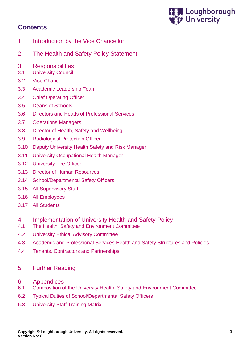# **Contents**

- 1. Introduction by the Vice Chancellor
- 2. The Health and Safety Policy Statement
- 3. Responsibilities
- 3.1 University Council
- 3.2 Vice Chancellor
- 3.3 Academic Leadership Team
- 3.4 Chief Operating Officer
- 3.5 Deans of Schools
- 3.6 Directors and Heads of Professional Services
- 3.7 Operations Managers
- 3.8 Director of Health, Safety and Wellbeing
- 3.9 Radiological Protection Officer
- 3.10 Deputy University Health Safety and Risk Manager
- 3.11 University Occupational Health Manager
- 3.12 University Fire Officer
- 3.13 Director of Human Resources
- 3.14 School/Departmental Safety Officers
- 3.15 All Supervisory Staff
- 3.16 All Employees
- 3.17 All Students
- 4. Implementation of University Health and Safety Policy
- 4.1 The Health, Safety and Environment Committee
- 4.2 University Ethical Advisory Committee
- 4.3 Academic and Professional Services Health and Safety Structures and Policies
- 4.4 Tenants, Contractors and Partnerships
- 5. Further Reading
- 6. Appendices
- 6.1 Composition of the University Health, Safety and Environment Committee
- 6.2 Typical Duties of School/Departmental Safety Officers
- 6.3 University Staff Training Matrix

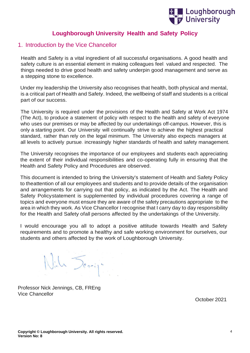

# **Loughborough University Health and Safety Policy**

# 1. Introduction by the Vice Chancellor

Health and Safety is a vital ingredient of all successful organisations. A good health and safety culture is an essential element in making colleagues feel. valued and respected. The things needed to drive good health and safety underpin good management and serve as a stepping stone to excellence.

Under my leadership the University also recognises that health, both physical and mental, is a critical part of Health and Safety. Indeed, the wellbeing of staff and students is a critical part of our success.

The University is required under the provisions of the Health and Safety at Work Act 1974 (The Act), to produce a statement of policy with respect to the health and safety of everyone who uses our premises or may be affected by our undertakings off-campus. However, this is only a starting point. Our University will continually strive to achieve the highest practical standard, rather than rely on the legal minimum. The University also expects managers at all levels to actively pursue. increasingly higher standards of health and safety management.

The University recognises the importance of our employees and students each appreciating the extent of their individual responsibilities and co-operating fully in ensuring that the Health and Safety Policy and Procedures are observed.

This document is intended to bring the University's statement of Health and Safety Policy to theattention of all our employees and students and to provide details of the organisation and arrangements for carrying out that policy, as indicated by the Act. The Health and Safety Policystatement is supplemented by individual procedures covering a range of topics and everyone must ensure they are aware of the safety precautions appropriate to the area in which they work. As Vice Chancellor I recognise that I carry day to day responsibility for the Health and Safety ofall persons affected by the undertakings of the University.

I would encourage you all to adopt a positive attitude towards Health and Safety requirements and to promote a healthy and safe working environment for ourselves, our students and others affected by the work of Loughborough University.

Vich Jenige

Professor Nick Jennings, CB, FREng Vice Chancellor

October 2021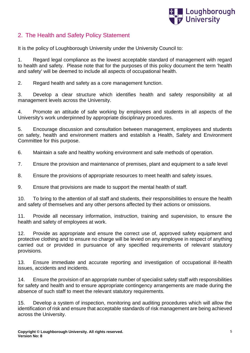

# 2. The Health and Safety Policy Statement

It is the policy of Loughborough University under the University Council to:

1. Regard legal compliance as the lowest acceptable standard of management with regard to health and safety. Please note that for the purposes of this policy document the term 'health and safety' will be deemed to include all aspects of occupational health.

2. Regard health and safety as a core management function.

3. Develop a clear structure which identifies health and safety responsibility at all management levels across the University.

4. Promote an attitude of safe working by employees and students in all aspects of the University's work underpinned by appropriate disciplinary procedures.

5. Encourage discussion and consultation between management, employees and students on safety, health and environment matters and establish a Health, Safety and Environment Committee for this purpose.

6. Maintain a safe and healthy working environment and safe methods of operation.

7. Ensure the provision and maintenance of premises, plant and equipment to a safe level

8. Ensure the provisions of appropriate resources to meet health and safety issues.

9. Ensure that provisions are made to support the mental health of staff.

10. To bring to the attention of all staff and students, their responsibilities to ensure the health and safety of themselves and any other persons affected by their actions or omissions.

11. Provide all necessary information, instruction, training and supervision, to ensure the health and safety of employees at work.

12. Provide as appropriate and ensure the correct use of, approved safety equipment and protective clothing and to ensure no charge will be levied on any employee in respect of anything carried out or provided in pursuance of any specified requirements of relevant statutory provisions.

13. Ensure immediate and accurate reporting and investigation of occupational ill-health issues, accidents and incidents.

14. Ensure the provision of an appropriate number of specialist safety staff with responsibilities for safety and health and to ensure appropriate contingency arrangements are made during the absence of such staff to meet the relevant statutory requirements.

15. Develop a system of inspection, monitoring and auditing procedures which will allow the identification of risk and ensure that acceptable standards of risk management are being achieved across the University.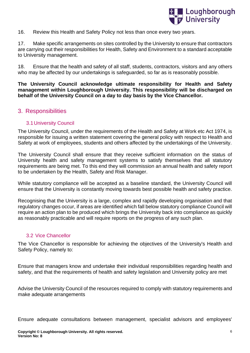

16. Review this Health and Safety Policy not less than once every two years.

17. Make specific arrangements on sites controlled by the University to ensure that contractors are carrying out their responsibilities for Health, Safety and Environment to a standard acceptable to University management.

18. Ensure that the health and safety of all staff, students, contractors, visitors and any others who may be affected by our undertakings is safeguarded, so far as is reasonably possible.

**The University Council acknowledge ultimate responsibility for Health and Safety management within Loughborough University. This responsibility will be discharged on behalf of the University Council on a day to day basis by the Vice Chancellor.**

# 3. Responsibilities

#### 3.1University Council

The University Council, under the requirements of the Health and Safety at Work etc Act 1974, is responsible for issuing a written statement covering the general policy with respect to Health and Safety at work of employees, students and others affected by the undertakings of the University.

The University Council shall ensure that they receive sufficient information on the status of University health and safety management systems to satisfy themselves that all statutory requirements are being met. To this end they will commission an annual health and safety report to be undertaken by the Health, Safety and Risk Manager.

While statutory compliance will be accepted as a baseline standard, the University Council will ensure that the University is constantly moving towards best possible health and safety practice.

Recognising that the University is a large, complex and rapidly developing organisation and that regulatory changes occur, if areas are identified which fall below statutory compliance Council will require an action plan to be produced which brings the University back into compliance as quickly as reasonably practicable and will require reports on the progress of any such plan.

#### 3.2 Vice Chancellor

The Vice Chancellor is responsible for achieving the objectives of the University's Health and Safety Policy, namely to:

Ensure that managers know and undertake their individual responsibilities regarding health and safety, and that the requirements of health and safety legislation and University policy are met

Advise the University Council of the resources required to comply with statutory requirements and make adequate arrangements

Ensure adequate consultations between management, specialist advisors and employees'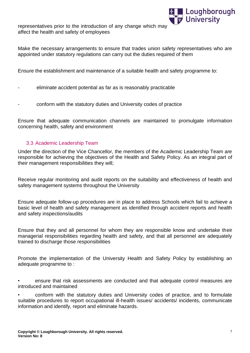

representatives prior to the introduction of any change which may affect the health and safety of employees

Make the necessary arrangements to ensure that trades union safety representatives who are appointed under statutory regulations can carry out the duties required of them

Ensure the establishment and maintenance of a suitable health and safety programme to:

- eliminate accident potential as far as is reasonably practicable
- conform with the statutory duties and University codes of practice

Ensure that adequate communication channels are maintained to promulgate information concerning health, safety and environment

#### 3.3 Academic Leadership Team

Under the direction of the Vice Chancellor, the members of the Academic Leadership Team are responsible for achieving the objectives of the Health and Safety Policy. As an integral part of their management responsibilities they will;

Receive regular monitoring and audit reports on the suitability and effectiveness of health and safety management systems throughout the University

Ensure adequate follow-up procedures are in place to address Schools which fail to achieve a basic level of health and safety management as identified through accident reports and health and safety inspections/audits

Ensure that they and all personnel for whom they are responsible know and undertake their managerial responsibilities regarding health and safety, and that all personnel are adequately trained to discharge those responsibilities

Promote the implementation of the University Health and Safety Policy by establishing an adequate programme to :

• ensure that risk assessments are conducted and that adequate control measures are introduced and maintained

• conform with the statutory duties and University codes of practice, and to formulate suitable procedures to report occupational ill-health issues/ accidents/ incidents, communicate information and identify, report and eliminate hazards.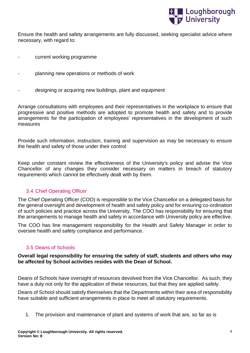

Ensure the health and safety arrangements are fully discussed, seeking specialist advice where necessary, with regard to:

- current working programme
- planning new operations or methods of work
- designing or acquiring new buildings, plant and equipment

Arrange consultations with employees and their representatives in the workplace to ensure that progressive and positive methods are adopted to promote health and safety and to provide arrangements for the participation of employees' representatives in the development of such measures

Provide such information, instruction, training and supervision as may be necessary to ensure the health and safety of those under their control

Keep under constant review the effectiveness of the University's policy and advise the Vice Chancellor of any changes they consider necessary on matters in breach of statutory requirements which cannot be effectively dealt with by them.

#### 3.4 Chief Operating Officer

The Chief Operating Officer (COO) is responsible to the Vice Chancellor on a delegated basis for the general oversight and development of health and safety policy and for ensuring co-ordination of such policies and practice across the University. The COO has responsibility for ensuring that the arrangements to manage health and safety in accordance with University policy are effective.

The COO has line management responsibility for the Health and Safety Manager in order to oversee health and safety compliance and performance.

#### 3.5 Deans of Schools

#### **Overall legal responsibility for ensuring the safety of staff, students and others who may be affected by School activities resides with the Dean of School.**

Deans of Schools have oversight of resources devolved from the Vice Chancellor. As such, they have a duty not only for the application of these resources, but that they are applied safely.

Deans of School should satisfy themselves that the Departments within their area of responsibility have suitable and sufficient arrangements in place to meet all statutory requirements.

1. The provision and maintenance of plant and systems of work that are, so far as is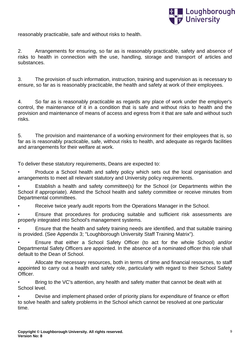

reasonably practicable, safe and without risks to health.

2. Arrangements for ensuring, so far as is reasonably practicable, safety and absence of risks to health in connection with the use, handling, storage and transport of articles and substances.

3. The provision of such information, instruction, training and supervision as is necessary to ensure, so far as is reasonably practicable, the health and safety at work of their employees.

4. So far as is reasonably practicable as regards any place of work under the employer's control, the maintenance of it in a condition that is safe and without risks to health and the provision and maintenance of means of access and egress from it that are safe and without such risks.

5. The provision and maintenance of a working environment for their employees that is, so far as is reasonably practicable, safe, without risks to health, and adequate as regards facilities and arrangements for their welfare at work.

To deliver these statutory requirements, Deans are expected to:

• Produce a School health and safety policy which sets out the local organisation and arrangements to meet all relevant statutory and University policy requirements.

• Establish a health and safety committee(s) for the School (or Departments within the School if appropriate). Attend the School health and safety committee or receive minutes from Departmental committees.

Receive twice yearly audit reports from the Operations Manager in the School.

• Ensure that procedures for producing suitable and sufficient risk assessments are properly integrated into School's management systems.

• Ensure that the health and safety training needs are identified, and that suitable training is provided. (See Appendix 3; "Loughborough University Staff Training Matrix").

• Ensure that either a School Safety Officer (to act for the whole School) and/or Departmental Safety Officers are appointed. In the absence of a nominated officer this role shall default to the Dean of School.

• Allocate the necessary resources, both in terms of time and financial resources, to staff appointed to carry out a health and safety role, particularly with regard to their School Safety Officer.

• Bring to the VC's attention, any health and safety matter that cannot be dealt with at School level.

• Devise and implement phased order of priority plans for expenditure of finance or effort to solve health and safety problems in the School which cannot be resolved at one particular time.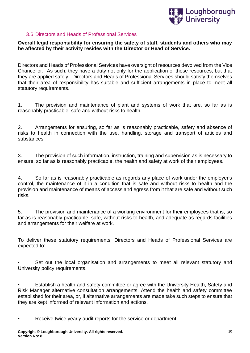

## 3.6 Directors and Heads of Professional Services

**Overall legal responsibility for ensuring the safety of staff, students and others who may be affected by their activity resides with the Director or Head of Service.** 

Directors and Heads of Professional Services have oversight of resources devolved from the Vice Chancellor. As such, they have a duty not only for the application of these resources, but that they are applied safely. Directors and Heads of Professional Services should satisfy themselves that their area of responsibility has suitable and sufficient arrangements in place to meet all statutory requirements.

1. The provision and maintenance of plant and systems of work that are, so far as is reasonably practicable, safe and without risks to health.

2. Arrangements for ensuring, so far as is reasonably practicable, safety and absence of risks to health in connection with the use, handling, storage and transport of articles and substances.

3. The provision of such information, instruction, training and supervision as is necessary to ensure, so far as is reasonably practicable, the health and safety at work of their employees.

4. So far as is reasonably practicable as regards any place of work under the employer's control, the maintenance of it in a condition that is safe and without risks to health and the provision and maintenance of means of access and egress from it that are safe and without such risks.

5. The provision and maintenance of a working environment for their employees that is, so far as is reasonably practicable, safe, without risks to health, and adequate as regards facilities and arrangements for their welfare at work.

To deliver these statutory requirements, Directors and Heads of Professional Services are expected to:

Set out the local organisation and arrangements to meet all relevant statutory and University policy requirements.

• Establish a health and safety committee or agree with the University Health, Safety and Risk Manager alternative consultation arrangements. Attend the health and safety committee established for their area, or, if alternative arrangements are made take such steps to ensure that they are kept informed of relevant information and actions.

Receive twice yearly audit reports for the service or department.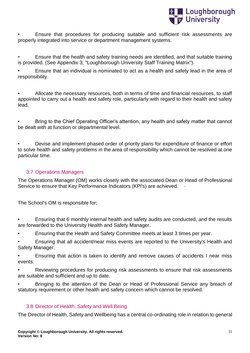

• Ensure that procedures for producing suitable and sufficient risk assessments are properly integrated into service or department management systems.

• Ensure that the health and safety training needs are identified, and that suitable training is provided. (See Appendix 3; "Loughborough University Staff Training Matrix").

• Ensure that an individual is nominated to act as a health and safety lead in the area of responsibility.

• Allocate the necessary resources, both in terms of time and financial resources, to staff appointed to carry out a health and safety role, particularly with regard to their health and safety lead.

• Bring to the Chief Operating Officer's attention, any health and safety matter that cannot be dealt with at function or departmental level.

• Devise and implement phased order of priority plans for expenditure of finance or effort to solve health and safety problems in the area of responsibility which cannot be resolved at one particular time.

# 3.7 Operations Managers

The Operations Manager (OM) works closely with the associated Dean or Head of Professional Service to ensure that Key Performance Indicators (KPI's) are achieved.

The School's OM is responsible for;

• Ensuring that 6 monthly internal health and safety audits are conducted, and the results are forwarded to the University Health and Safety Manager.

• Ensuring that the Health and Safety Committee meets at least 3 times per year.

• Ensuring that all accident/near miss events are reported to the University's Health and Safety Manager.

• Ensuring that action is taken to identify and remove causes of accidents I near miss events.

Reviewing procedures for producing risk assessments to ensure that risk assessments are suitable and sufficient and up to date.

• Bringing to the attention of the Dean or Head of Professional Service any breach of statutory requirement or other health and safety concern which cannot be resolved.

# 3.8 Director of Health, Safety and Well Being

The Director of Health, Safety and Wellbeing has a central co-ordinating role in relation to general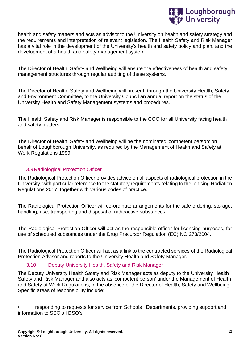

health and safety matters and acts as advisor to the University on health and safety strategy and the requirements and interpretation of relevant legislation. The Health Safety and Risk Manager has a vital role in the development of the University's health and safety policy and plan, and the development of a health and safety management system.

The Director of Health, Safety and Wellbeing will ensure the effectiveness of health and safety management structures through regular auditing of these systems.

The Director of Health, Safety and Wellbeing will present, through the University Health, Safety and Environment Committee, to the University Council an annual report on the status of the University Health and Safety Management systems and procedures.

The Health Safety and Risk Manager is responsible to the COO for all University facing health and safety matters

The Director of Health, Safety and Wellbeing will be the nominated 'competent person' on behalf of Loughborough University, as required by the Management of Health and Safety at Work Regulations 1999.

## 3.9Radiological Protection Officer

The Radiological Protection Officer provides advice on all aspects of radiological protection in the University, with particular reference to the statutory requirements relating to the Ionising Radiation Regulations 2017, together with various codes of practice.

The Radiological Protection Officer will co-ordinate arrangements for the safe ordering, storage, handling, use, transporting and disposal of radioactive substances.

The Radiological Protection Officer will act as the responsible officer for licensing purposes, for use of scheduled substances under the Drug Precursor Regulation (EC) NO 273/2004.

The Radiological Protection Officer will act as a link to the contracted services of the Radiological Protection Advisor and reports to the University Health and Safety Manager.

#### 3.10 Deputy University Health, Safety and Risk Manager

The Deputy University Health Safety and Risk Manager acts as deputy to the University Health Safety and Risk Manager and also acts as 'competent person' under the Management of Health and Safety at Work Regulations, in the absence of the Director of Health, Safety and Wellbeing. Specific areas of responsibility include;

• responding to requests for service from Schools I Departments, providing support and information to SSO's I DSO's,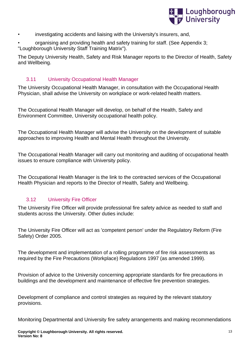

• investigating accidents and liaising with the University's insurers, and,

• organising and providing health and safety training for staff. (See Appendix 3; "Loughborough University Staff Training Matrix").

The Deputy University Health, Safety and Risk Manager reports to the Director of Health, Safety and Wellbeing.

#### 3.11 University Occupational Health Manager

The University Occupational Health Manager, in consultation with the Occupational Health Physician, shall advise the University on workplace or work-related health matters.

The Occupational Health Manager will develop, on behalf of the Health, Safety and Environment Committee, University occupational health policy.

The Occupational Health Manager will advise the University on the development of suitable approaches to improving Health and Mental Health throughout the University.

The Occupational Health Manager will carry out monitoring and auditing of occupational health issues to ensure compliance with University policy.

The Occupational Health Manager is the link to the contracted services of the Occupational Health Physician and reports to the Director of Health, Safety and Wellbeing.

#### 3.12 University Fire Officer

The University Fire Officer will provide professional fire safety advice as needed to staff and students across the University. Other duties include:

The University Fire Officer will act as 'competent person' under the Regulatory Reform (Fire Safety) Order 2005.

The development and implementation of a rolling programme of fire risk assessments as required by the Fire Precautions (Workplace) Regulations 1997 (as amended 1999).

Provision of advice to the University concerning appropriate standards for fire precautions in buildings and the development and maintenance of effective fire prevention strategies.

Development of compliance and control strategies as required by the relevant statutory provisions.

Monitoring Departmental and University fire safety arrangements and making recommendations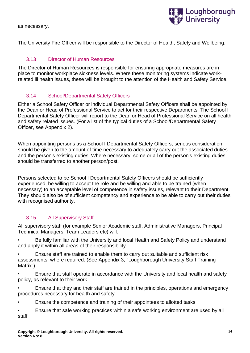as necessary.



The University Fire Officer will be responsible to the Director of Health, Safety and Wellbeing.

# 3.13 Director of Human Resources

The Director of Human Resources is responsible for ensuring appropriate measures are in place to monitor workplace sickness levels. Where these monitoring systems indicate workrelated ill health issues, these will be brought to the attention of the Health and Safety Service.

# 3.14 School/Departmental Safety Officers

Either a School Safety Officer or individual Departmental Safety Officers shall be appointed by the Dean or Head of Professional Service to act for their respective Departments. The School I Departmental Safety Officer will report to the Dean or Head of Professional Service on all health and safety related issues. (For a list of the typical duties of a School/Departmental Safety Officer, see Appendix 2).

When appointing persons as a School I Departmental Safety Officers, serious consideration should be given to the amount of time necessary to adequately carry out the associated duties and the person's existing duties. Where necessary, some or all of the person's existing duties should be transferred to another person/post.

Persons selected to be School I Departmental Safety Officers should be sufficiently experienced, be willing to accept the role and be willing and able to be trained (when necessary) to an acceptable level of competence in safety issues, relevant to their Department. They should also be of sufficient competency and experience to be able to carry out their duties with recognised authority.

# 3.15 All Supervisory Staff

All supervisory staff (for example Senior Academic staff, Administrative Managers, Principal Technical Managers, Team Leaders etc) will:

• Be fully familiar with the University and local Health and Safety Policy and understand and apply it within all areas of their responsibility

• Ensure staff are trained to enable them to carry out suitable and sufficient risk assessments, where required. (See Appendix 3; "Loughborough University Staff Training Matrix").

• Ensure that staff operate in accordance with the University and local health and safety policy, as relevant to their work

• Ensure that they and their staff are trained in the principles, operations and emergency procedures necessary for health and safety

• Ensure the competence and training of their appointees to allotted tasks

• Ensure that safe working practices within a safe working environment are used by all staff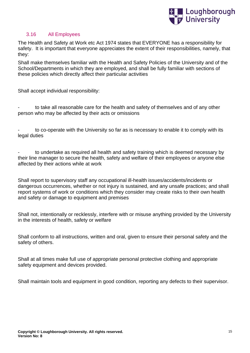

## 3.16 All Employees

The Health and Safety at Work etc Act 1974 states that EVERYONE has a responsibility for safety. It is important that everyone appreciates the extent of their responsibilities, namely, that they:

Shall make themselves familiar with the Health and Safety Policies of the University and of the School/Departments in which they are employed, and shall be fully familiar with sections of these policies which directly affect their particular activities

Shall accept individual responsibility:

to take all reasonable care for the health and safety of themselves and of any other person who may be affected by their acts or omissions

to co-operate with the University so far as is necessary to enable it to comply with its legal duties

to undertake as required all health and safety training which is deemed necessary by their line manager to secure the health, safety and welfare of their employees or anyone else affected by their actions while at work

Shall report to supervisory staff any occupational ill-health issues/accidents/incidents or dangerous occurrences, whether or not injury is sustained, and any unsafe practices; and shall report systems of work or conditions which they consider may create risks to their own health and safety or damage to equipment and premises

Shall not, intentionally or recklessly, interfere with or misuse anything provided by the University in the interests of health, safety or welfare

Shall conform to all instructions, written and oral, given to ensure their personal safety and the safety of others.

Shall at all times make full use of appropriate personal protective clothing and appropriate safety equipment and devices provided.

Shall maintain tools and equipment in good condition, reporting any defects to their supervisor.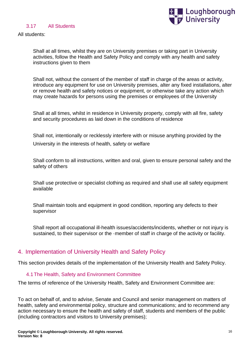## 3.17 All Students



All students:

Shall at all times, whilst they are on University premises or taking part in University activities, follow the Health and Safety Policy and comply with any health and safety instructions given to them

Shall not, without the consent of the member of staff in charge of the areas or activity, introduce any equipment for use on University premises, alter any fixed installations, alter or remove health and safety notices or equipment, or otherwise take any action which may create hazards for persons using the premises or employees of the University

Shall at all times, whilst in residence in University property, comply with all fire, safety and security procedures as laid down in the conditions of residence

Shall not, intentionally or recklessly interfere with or misuse anything provided by the University in the interests of health, safety or welfare

Shall conform to all instructions, written and oral, given to ensure personal safety and the safety of others

Shall use protective or specialist clothing as required and shall use all safety equipment available

Shall maintain tools and equipment in good condition, reporting any defects to their supervisor

Shall report all occupational ill-health issues/accidents/incidents, whether or not injury is sustained, to their supervisor or the ·member of staff in charge of the activity or facility.

# 4. Implementation of University Health and Safety Policy

This section provides details of the implementation of the University Health and Safety Policy.

#### 4.1The Health, Safety and Environment Committee

The terms of reference of the University Health, Safety and Environment Committee are:

To act on behalf of, and to advise, Senate and Council and senior management on matters of health, safety and environmental policy, structure and communications; and to recommend any action necessary to ensure the health and safety of staff, students and members of the public (including contractors and visitors to University premises);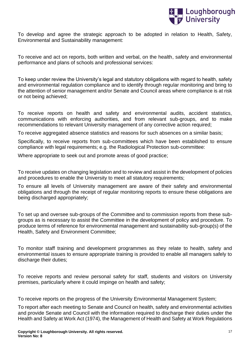

To develop and agree the strategic approach to be adopted in relation to Health, Safety, Environmental and Sustainability management:

To receive and act on reports, both written and verbal, on the health, safety and environmental performance and plans of schools and professional services:

To keep under review the University's legal and statutory obligations with regard to health, safety and environmental regulation compliance and to identify through regular monitoring and bring to the attention of senior management and/or Senate and Council areas where compliance is at risk or not being achieved;

To receive reports on health and safety and environmental audits, accident statistics, communications with enforcing authorities, and from relevant sub-groups, and to make recommendations to relevant University management of any corrective action required;

To receive aggregated absence statistics and reasons for such absences on a similar basis;

Specifically, to receive reports from sub-committees which have been established to ensure compliance with legal requirements; e.g. the Radiological Protection sub-committee:

Where appropriate to seek out and promote areas of good practice;

To receive updates on changing legislation and to review and assist in the development of policies and procedures to enable the University to meet all statutory requirements;

To ensure all levels of University management are aware of their safety and environmental obligations and through the receipt of regular monitoring reports to ensure these obligations are being discharged appropriately;

To set up and oversee sub-groups of the Committee and to commission reports from these subgroups as is necessary to assist the Committee in the development of policy and procedure. To produce terms of reference for environmental management and sustainability sub-group(s) of the Health, Safety and Environment Committee;

To monitor staff training and development programmes as they relate to health, safety and environmental issues to ensure appropriate training is provided to enable all managers safely to discharge their duties;

To receive reports and review personal safety for staff, students and visitors on University premises, particularly where it could impinge on health and safety;

To receive reports on the progress of the University Environmental Management System;

To report after each meeting to Senate and Council on health, safety and environmental activities and provide Senate and Council with the information required to discharge their duties under the Health and Safety at Work Act (1974), the Management of Health and Safety at Work Regulations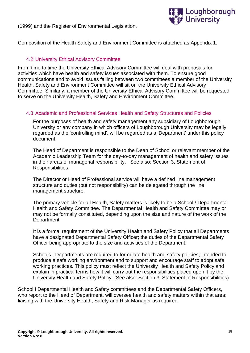(1999) and the Register of Environmental Legislation.



Composition of the Health Safety and Environment Committee is attached as Appendix 1.

## 4.2 University Ethical Advisory Committee

From time to time the University Ethical Advisory Committee will deal with proposals for activities which have health and safety issues associated with them. To ensure good communications and to avoid issues falling between two committees a member of the University Health, Safety and Environment Committee will sit on the University Ethical Advisory Committee. Similarly, a member of the University Ethical Advisory Committee will be requested to serve on the University Health, Safety and Environment Committee.

#### 4.3 Academic and Professional Services Health and Safety Structures and Policies

For the purposes of health and safety management any subsidiary of Loughborough University or any company in which officers of Loughborough University may be legally regarded as the 'controlling mind', will be regarded as a 'Department' under this policy document.

The Head of Department is responsible to the Dean of School or relevant member of the Academic Leadership Team for the day-to-day management of health and safety issues in their areas of managerial responsibility. See also: Section 3, Statement of Responsibilities.

The Director or Head of Professional service will have a defined line management structure and duties (but not responsibility) can be delegated through the line management structure.

The primary vehicle for all Health, Safety matters is likely to be a School / Departmental Health and Safety Committee. The Departmental Health and Safety Committee may or may not be formally constituted, depending upon the size and nature of the work of the Department.

It is a formal requirement of the University Health and Safety Policy that all Departments have a designated Departmental Safety Officer; the duties of the Departmental Safety Officer being appropriate to the size and activities of the Department.

Schools I Departments are required to formulate health and safety policies, intended to produce a safe working environment and to support and encourage staff to adopt safe working practices. This policy must reflect the University Health and Safety Policy and explain in practical terms how it will carry out the responsibilities placed upon it by the University Health and Safety Policy. (See also: Section 3, Statement of Responsibilities).

School I Departmental Health and Safety committees and the Departmental Safety Officers, who report to the Head of Department, will oversee health and safety matters within that area; liaising with the University Health, Safety and Risk Manager as required.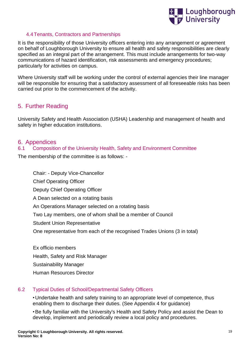

# 4.4Tenants, Contractors and Partnerships

It is the responsibility of those University officers entering into any arrangement or agreement on behalf of Loughborough University to ensure all health and safety responsibilities are clearly specified as an integral part of the arrangement. This must include arrangements for two-way communications of hazard identification, risk assessments and emergency procedures; particularly for activities on campus.

Where University staff will be working under the control of external agencies their line manager will be responsible for ensuring that a satisfactory assessment of all foreseeable risks has been carried out prior to the commencement of the activity.

# 5. Further Reading

University Safety and Health Association (USHA) Leadership and management of health and safety in higher education institutions.

#### 6. Appendices

6.1 Composition of the University Health, Safety and Environment Committee

The membership of the committee is as follows: -

Chair: - Deputy Vice-Chancellor Chief Operating Officer Deputy Chief Operating Officer A Dean selected on a rotating basis An Operations Manager selected on a rotating basis Two Lay members, one of whom shall be a member of Council Student Union Representative One representative from each of the recognised Trades Unions (3 in total)

Ex officio members Health, Safety and Risk Manager Sustainability Manager Human Resources Director

#### 6.2 Typical Duties of School/Departmental Safety Officers

•Undertake health and safety training to an appropriate level of competence, thus enabling them to discharge their duties. (See Appendix 4 for guidance)

•Be fully familiar with the University's Health and Safety Policy and assist the Dean to develop, implement and periodically review a local policy and procedures.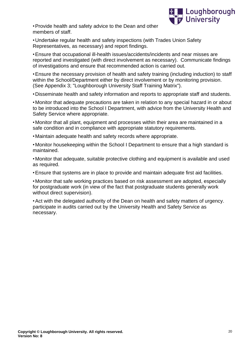

•Provide health and safety advice to the Dean and other members of staff.

•Undertake regular health and safety inspections (with Trades Union Safety Representatives, as necessary) and report findings.

•Ensure that occupational ill-health issues/accidents/incidents and near misses are reported and investigated (with direct involvement as necessary). Communicate findings of investigations and ensure that recommended action is carried out.

•Ensure the necessary provision of health and safety training (including induction) to staff within the School/Department either by direct involvement or by monitoring provision. (See Appendix 3; "Loughborough University Staff Training Matrix").

•Disseminate health and safety information and reports to appropriate staff and students.

•Monitor that adequate precautions are taken in relation to any special hazard in or about to be introduced into the School I Department, with advice from the University Health and Safety Service where appropriate.

•Monitor that all plant, equipment and processes within their area are maintained in a safe condition and in compliance with appropriate statutory requirements.

•Maintain adequate health and safety records where appropriate.

•Monitor housekeeping within the School I Department to ensure that a high standard is maintained.

•Monitor that adequate, suitable protective clothing and equipment is available and used as required.

•Ensure that systems are in place to provide and maintain adequate first aid facilities.

•Monitor that safe working practices based on risk assessment are adopted, especially for postgraduate work (in view of the fact that postgraduate students generally work without direct supervision).

•Act with the delegated authority of the Dean on health and safety matters of urgency. participate in audits carried out by the University Health and Safety Service as necessary.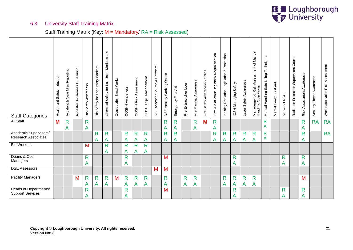

# 6.3 University Staff Training Matrix

# Staff Training Matrix (Key: M = Mandatory/ RA = Risk Assessed)

| <b>Staff Categories</b>                             | and Safety Induction<br>Health | Near Miss Reporting<br>Accident & | E-Learning<br>Awareness<br>Asbestos | Awareness<br>Safety.<br>Вiо | Bio Safety for Laboratory Workers | 4<br>$\overline{\phantom{0}}$<br>Chemical Safety for Lab Users Modules | Small Works<br>Construction | COSHH Awareness   | COSHH Risk Assessment | Spill Management<br><b>COSHH</b> | Software<br>య<br>Course<br>Assessor<br>DSE | Healthy Working Online<br>DSE | Emergency First Aid | Fire Extinguisher User | Fire Marshal Awareness       | Online<br>$\blacksquare$<br>Fire Safety Awareness | First Aid at Work Beginner/ Requalification | Protection<br>ఱ<br>Legislation<br>Ionising Radiation | <b>IOSH Managing Safely</b> | Laser Safety Awareness | Assessment of Manual<br>Management & Risk<br>Handling Operations | Techniques<br>Manual Handling Safe Lifting | Mental Health First Aid | NEBOSH NGC | Course<br>Radiation Protection Supervisors | Risk Assessment Awareness | Security Threat Awareness | Assessment<br>Workplace Noise Risk |
|-----------------------------------------------------|--------------------------------|-----------------------------------|-------------------------------------|-----------------------------|-----------------------------------|------------------------------------------------------------------------|-----------------------------|-------------------|-----------------------|----------------------------------|--------------------------------------------|-------------------------------|---------------------|------------------------|------------------------------|---------------------------------------------------|---------------------------------------------|------------------------------------------------------|-----------------------------|------------------------|------------------------------------------------------------------|--------------------------------------------|-------------------------|------------|--------------------------------------------|---------------------------|---------------------------|------------------------------------|
| All Staff                                           | M                              | $\mathsf{R}$<br>A                 |                                     | R<br>Α                      |                                   |                                                                        |                             |                   |                       |                                  |                                            | R<br>A                        | R<br>Α              |                        | R<br>A                       | M                                                 | $\mathsf{R}$<br>A                           |                                                      |                             |                        |                                                                  | $\mathsf{R}$<br>A                          |                         |            |                                            | R<br>Α                    | <b>RA</b>                 | <b>RA</b>                          |
| Academic Supervisors/<br><b>Research Associates</b> |                                |                                   |                                     |                             | R<br>А                            | $\mathsf{R}$<br>A                                                      |                             | $\mathsf{R}$<br>A | R<br>A                | R<br>A                           |                                            | R<br>A                        | $\mathsf{R}$<br>A   |                        |                              |                                                   | $\mathsf{R}$<br>A                           | $\mathsf{R}$<br>A                                    | $\mathsf{R}$<br>A           | R<br>A                 | $\mathsf{R}$<br>A                                                | $\mathsf{R}$<br>A                          |                         |            |                                            | $\mathsf{R}$<br>Α         |                           | <b>RA</b>                          |
| <b>Bio Workers</b>                                  |                                |                                   |                                     | M                           |                                   | R<br>Α                                                                 |                             | $\mathsf{R}$<br>A | R<br>Α                | $\overline{\mathsf{R}}$<br>A     |                                            |                               |                     |                        |                              |                                                   |                                             |                                                      |                             |                        |                                                                  |                                            |                         |            |                                            |                           |                           |                                    |
| Deans & Ops<br>Managers                             |                                |                                   |                                     | $\mathsf{R}$<br>A           |                                   |                                                                        |                             | R<br>Α            |                       |                                  |                                            | M                             |                     |                        |                              |                                                   |                                             |                                                      | $\mathsf{R}$<br>A           |                        |                                                                  |                                            |                         | R<br>A     |                                            | $\mathsf{R}$<br>Α         |                           |                                    |
| <b>DSE Assessors</b>                                |                                |                                   |                                     |                             |                                   |                                                                        |                             |                   |                       |                                  | М                                          | M                             |                     |                        |                              |                                                   |                                             |                                                      |                             |                        |                                                                  |                                            |                         |            |                                            |                           |                           |                                    |
| <b>Facility Managers</b>                            |                                |                                   | M                                   | $\mathsf{R}$<br>Α           | R<br>Α                            | R<br>A                                                                 | M                           | R<br>A            | $\mathsf{R}$<br>A     | $\mathsf{R}$<br>$\mathsf{A}$     |                                            | $\mathsf{R}$<br>A             |                     | R<br>A                 | $\overline{\mathsf{R}}$<br>A |                                                   |                                             | $\mathsf{R}$<br>Α                                    | $\mathsf{R}$<br>A           | R<br>A                 | $\mathsf{R}$<br>A                                                |                                            |                         |            |                                            | M                         |                           |                                    |
| Heads of Departments/<br><b>Support Services</b>    |                                |                                   |                                     | $\mathsf{R}$<br>Α           |                                   |                                                                        |                             | $\mathsf{R}$<br>A |                       |                                  |                                            | M                             |                     |                        |                              |                                                   |                                             |                                                      | $\mathsf{R}$<br>A           |                        |                                                                  |                                            |                         | R<br>A     |                                            | R<br>Α                    |                           |                                    |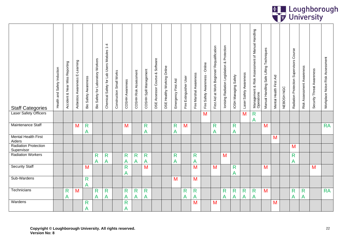

| <b>Staff Categories</b>                   | Health and Safety Induction | Accident & Near Miss Reporting | E-Learning<br>Asbestos Awareness | Bio Safety Awareness | Bio Safety for Laboratory Workers | 4<br>÷<br>Chemical Safety for Lab Users Modules | Small Works<br>Construction | COSHH Awareness | COSHH Risk Assessment | COSHH Spill Management | DSE Assessor Course & Software | DSE Healthy Working Online | Emergency First Aid | Fire Extinguisher User | Fire Marshal Awareness | Online<br>Fire Safety Awareness | First Aid at Work Beginner/ Requalification | Ionising Radiation Legislation & Protection | OSH Managing Safely | Laser Safety Awareness | Management & Risk Assessment of Manual Handling<br>Operations | Manual Handling Safe Lifting Techniques | Mental Health First Aid | NEBOSH NGC | Radiation Protection Supervisors Course | Risk Assessment Awareness | Security Threat Awareness | Workplace Noise Risk Assessment |
|-------------------------------------------|-----------------------------|--------------------------------|----------------------------------|----------------------|-----------------------------------|-------------------------------------------------|-----------------------------|-----------------|-----------------------|------------------------|--------------------------------|----------------------------|---------------------|------------------------|------------------------|---------------------------------|---------------------------------------------|---------------------------------------------|---------------------|------------------------|---------------------------------------------------------------|-----------------------------------------|-------------------------|------------|-----------------------------------------|---------------------------|---------------------------|---------------------------------|
| Laser Safety Officers                     |                             |                                |                                  |                      |                                   |                                                 |                             |                 |                       |                        |                                |                            |                     |                        |                        | M                               |                                             |                                             |                     | M                      | $\mathsf{R}$<br>Α                                             |                                         |                         |            |                                         |                           |                           |                                 |
| Maintenance Staff                         |                             |                                | M                                | $\mathsf{R}$<br>A    |                                   |                                                 |                             | M               |                       | $\mathsf{R}$<br>Α      |                                |                            | R<br>A              | M                      |                        |                                 | R<br>Α                                      |                                             | R<br>Α              |                        |                                                               | M                                       |                         |            |                                         |                           |                           | <b>RA</b>                       |
| <b>Mental Health First</b><br>Aiders      |                             |                                |                                  |                      |                                   |                                                 |                             |                 |                       |                        |                                |                            |                     |                        |                        |                                 |                                             |                                             |                     |                        |                                                               |                                         | M                       |            |                                         |                           |                           |                                 |
| <b>Radiation Protection</b><br>Supervisor |                             |                                |                                  |                      |                                   |                                                 |                             |                 |                       |                        |                                |                            |                     |                        |                        |                                 |                                             |                                             |                     |                        |                                                               |                                         |                         |            | M                                       |                           |                           |                                 |
| Radiation Workers                         |                             |                                |                                  |                      | $\mathsf{R}$<br>A                 | $\mathsf{R}$<br>A                               |                             | R<br>A          | $\mathsf{R}$<br>A     | $\mathsf{R}$<br>A      |                                |                            | R<br>A              |                        | R<br>Α                 |                                 |                                             | M                                           |                     |                        |                                                               |                                         |                         |            | $\mathsf{R}$<br>Α                       |                           |                           |                                 |
| <b>Security Staff</b>                     |                             |                                |                                  | M                    |                                   |                                                 |                             | R<br>А          |                       | M                      |                                |                            |                     |                        | M                      |                                 | M                                           |                                             | R<br>Α              |                        |                                                               | M                                       |                         |            |                                         |                           | M                         |                                 |
| Sub-Wardens                               |                             |                                |                                  | $\mathsf{R}$<br>A    |                                   |                                                 |                             |                 |                       |                        |                                |                            | M                   |                        | M                      |                                 |                                             |                                             |                     |                        |                                                               |                                         |                         |            |                                         |                           |                           |                                 |
| Technicians                               |                             | $\mathsf{R}$<br>A              | M                                |                      | R<br>A                            | $\mathsf{R}$<br>$\mathsf{A}$                    |                             | R<br>A          | R<br>A                | $\mathsf{R}$<br>A      |                                |                            |                     | $\mathsf{R}$<br>Α      | R<br>A                 |                                 |                                             | $\mathsf{R}$<br>Α                           | R<br>A              | R<br>A                 | R<br>A                                                        | M                                       |                         |            | R<br>A                                  | R<br>A                    |                           | <b>RA</b>                       |
| Wardens                                   |                             |                                |                                  | $\mathsf{R}$<br>A    |                                   |                                                 |                             | R<br>A          |                       |                        |                                |                            |                     |                        | M                      |                                 | M                                           |                                             |                     |                        |                                                               |                                         | М                       |            |                                         |                           |                           |                                 |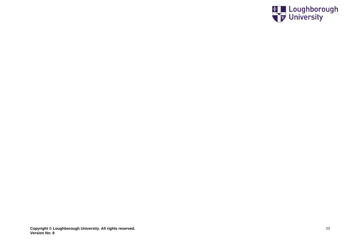